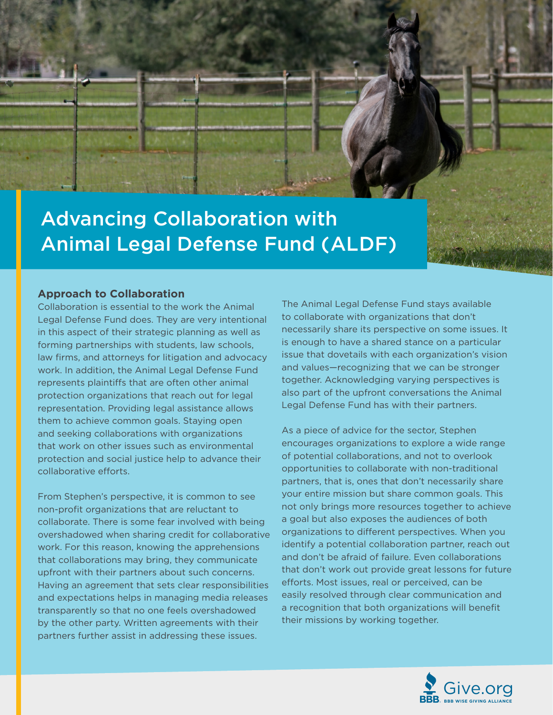

# Advancing Collaboration with Animal Legal Defense Fund (ALDF)

#### **Approach to Collaboration**

Collaboration is essential to the work the Animal Legal Defense Fund does. They are very intentional in this aspect of their strategic planning as well as forming partnerships with students, law schools, law firms, and attorneys for litigation and advocacy work. In addition, the Animal Legal Defense Fund represents plaintiffs that are often other animal protection organizations that reach out for legal representation. Providing legal assistance allows them to achieve common goals. Staying open and seeking collaborations with organizations that work on other issues such as environmental protection and social justice help to advance their collaborative efforts.

From Stephen's perspective, it is common to see non-profit organizations that are reluctant to collaborate. There is some fear involved with being overshadowed when sharing credit for collaborative work. For this reason, knowing the apprehensions that collaborations may bring, they communicate upfront with their partners about such concerns. Having an agreement that sets clear responsibilities and expectations helps in managing media releases transparently so that no one feels overshadowed by the other party. Written agreements with their partners further assist in addressing these issues.

The Animal Legal Defense Fund stays available to collaborate with organizations that don't necessarily share its perspective on some issues. It is enough to have a shared stance on a particular issue that dovetails with each organization's vision and values—recognizing that we can be stronger together. Acknowledging varying perspectives is also part of the upfront conversations the Animal Legal Defense Fund has with their partners.

As a piece of advice for the sector, Stephen encourages organizations to explore a wide range of potential collaborations, and not to overlook opportunities to collaborate with non-traditional partners, that is, ones that don't necessarily share your entire mission but share common goals. This not only brings more resources together to achieve a goal but also exposes the audiences of both organizations to different perspectives. When you identify a potential collaboration partner, reach out and don't be afraid of failure. Even collaborations that don't work out provide great lessons for future efforts. Most issues, real or perceived, can be easily resolved through clear communication and a recognition that both organizations will benefit their missions by working together.

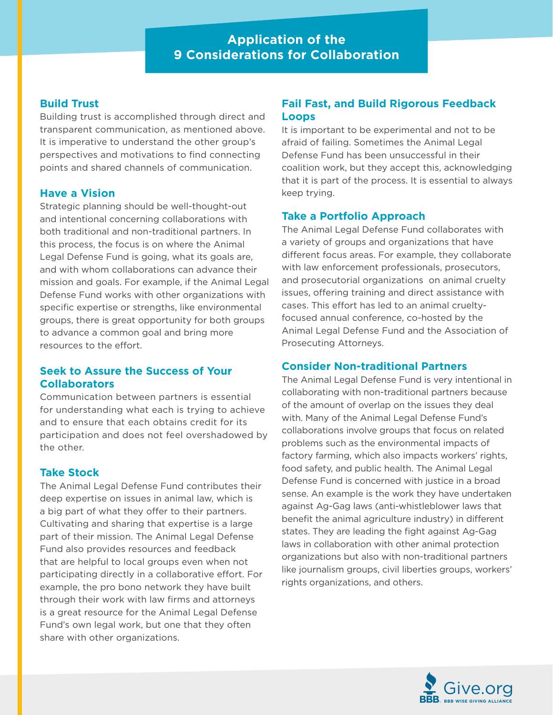# **Application of the 9 Considerations for Collaboration**

#### **Build Trust**

Building trust is accomplished through direct and transparent communication, as mentioned above. It is imperative to understand the other group's perspectives and motivations to find connecting points and shared channels of communication.

#### **Have a Vision**

Strategic planning should be well-thought-out and intentional concerning collaborations with both traditional and non-traditional partners. In this process, the focus is on where the Animal Legal Defense Fund is going, what its goals are, and with whom collaborations can advance their mission and goals. For example, if the Animal Legal Defense Fund works with other organizations with specific expertise or strengths, like environmental groups, there is great opportunity for both groups to advance a common goal and bring more resources to the effort.

### **Seek to Assure the Success of Your Collaborators**

Communication between partners is essential for understanding what each is trying to achieve and to ensure that each obtains credit for its participation and does not feel overshadowed by the other.

### **Take Stock**

The Animal Legal Defense Fund contributes their deep expertise on issues in animal law, which is a big part of what they offer to their partners. Cultivating and sharing that expertise is a large part of their mission. The Animal Legal Defense Fund also provides resources and feedback that are helpful to local groups even when not participating directly in a collaborative effort. For example, the pro bono network they have built through their work with law firms and attorneys is a great resource for the Animal Legal Defense Fund's own legal work, but one that they often share with other organizations.

# **Fail Fast, and Build Rigorous Feedback Loops**

It is important to be experimental and not to be afraid of failing. Sometimes the Animal Legal Defense Fund has been unsuccessful in their coalition work, but they accept this, acknowledging that it is part of the process. It is essential to always keep trying.

# **Take a Portfolio Approach**

The Animal Legal Defense Fund collaborates with a variety of groups and organizations that have different focus areas. For example, they collaborate with law enforcement professionals, prosecutors, and prosecutorial organizations on animal cruelty issues, offering training and direct assistance with cases. This effort has led to an animal crueltyfocused annual conference, co-hosted by the Animal Legal Defense Fund and the Association of Prosecuting Attorneys.

### **Consider Non-traditional Partners**

The Animal Legal Defense Fund is very intentional in collaborating with non-traditional partners because of the amount of overlap on the issues they deal with. Many of the Animal Legal Defense Fund's collaborations involve groups that focus on related problems such as the environmental impacts of factory farming, which also impacts workers' rights, food safety, and public health. The Animal Legal Defense Fund is concerned with justice in a broad sense. An example is the work they have undertaken against Ag-Gag laws (anti-whistleblower laws that benefit the animal agriculture industry) in different states. They are leading the fight against Ag-Gag laws in collaboration with other animal protection organizations but also with non-traditional partners like journalism groups, civil liberties groups, workers' rights organizations, and others.